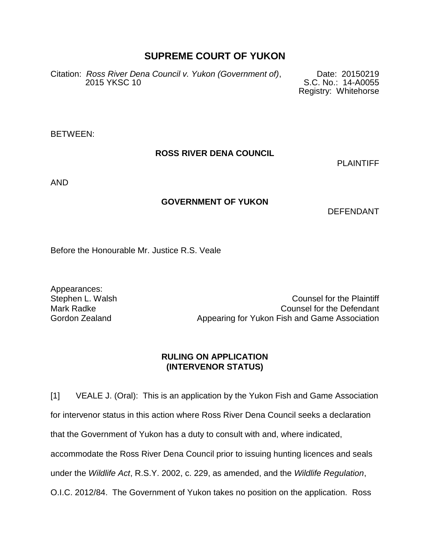# **SUPREME COURT OF YUKON**

Citation: *Ross River Dena Council v. Yukon (Government of)*, Date: 20150219 S.C. No.: 14-A0055

Registry: Whitehorse

BETWEEN:

### **ROSS RIVER DENA COUNCIL**

PLAINTIFF

AND

### **GOVERNMENT OF YUKON**

DEFENDANT

Before the Honourable Mr. Justice R.S. Veale

Appearances:

Stephen L. Walsh Counsel for the Plaintiff Mark Radke **Counsel for the Defendant** Gordon Zealand **Appearing for Yukon Fish and Game Association** 

#### **RULING ON APPLICATION (INTERVENOR STATUS)**

[1] VEALE J. (Oral): This is an application by the Yukon Fish and Game Association for intervenor status in this action where Ross River Dena Council seeks a declaration that the Government of Yukon has a duty to consult with and, where indicated, accommodate the Ross River Dena Council prior to issuing hunting licences and seals under the *Wildlife Act*, R.S.Y. 2002, c. 229, as amended, and the *Wildlife Regulation*, O.I.C. 2012/84. The Government of Yukon takes no position on the application. Ross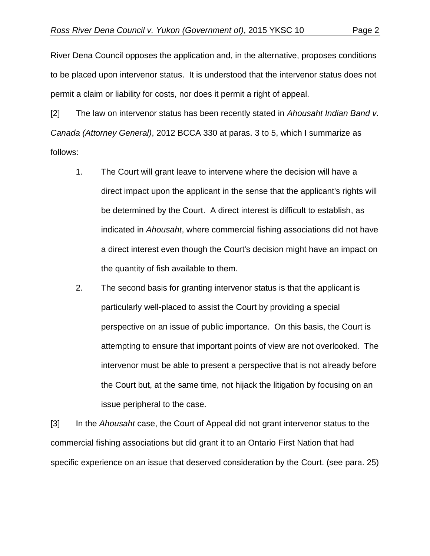River Dena Council opposes the application and, in the alternative, proposes conditions to be placed upon intervenor status. It is understood that the intervenor status does not permit a claim or liability for costs, nor does it permit a right of appeal.

[2] The law on intervenor status has been recently stated in *Ahousaht Indian Band v. Canada (Attorney General)*, 2012 BCCA 330 at paras. 3 to 5, which I summarize as follows:

- 1. The Court will grant leave to intervene where the decision will have a direct impact upon the applicant in the sense that the applicant's rights will be determined by the Court. A direct interest is difficult to establish, as indicated in *Ahousaht*, where commercial fishing associations did not have a direct interest even though the Court's decision might have an impact on the quantity of fish available to them.
- 2. The second basis for granting intervenor status is that the applicant is particularly well-placed to assist the Court by providing a special perspective on an issue of public importance. On this basis, the Court is attempting to ensure that important points of view are not overlooked. The intervenor must be able to present a perspective that is not already before the Court but, at the same time, not hijack the litigation by focusing on an issue peripheral to the case.

[3] In the *Ahousaht* case, the Court of Appeal did not grant intervenor status to the commercial fishing associations but did grant it to an Ontario First Nation that had specific experience on an issue that deserved consideration by the Court. (see para. 25)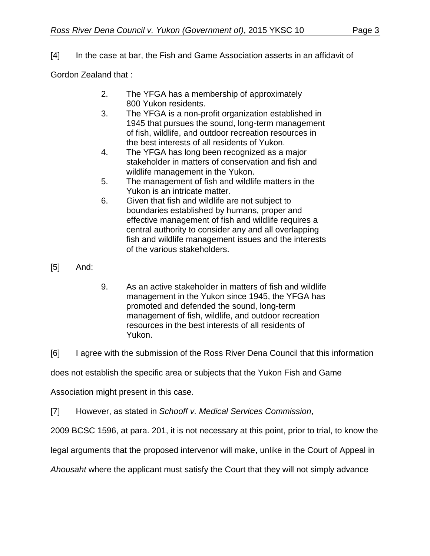# [4] In the case at bar, the Fish and Game Association asserts in an affidavit of

Gordon Zealand that :

- 2. The YFGA has a membership of approximately 800 Yukon residents.
- 3. The YFGA is a non-profit organization established in 1945 that pursues the sound, long-term management of fish, wildlife, and outdoor recreation resources in the best interests of all residents of Yukon.
- 4. The YFGA has long been recognized as a major stakeholder in matters of conservation and fish and wildlife management in the Yukon.
- 5. The management of fish and wildlife matters in the Yukon is an intricate matter.
- 6. Given that fish and wildlife are not subject to boundaries established by humans, proper and effective management of fish and wildlife requires a central authority to consider any and all overlapping fish and wildlife management issues and the interests of the various stakeholders.

[5] And:

- 9. As an active stakeholder in matters of fish and wildlife management in the Yukon since 1945, the YFGA has promoted and defended the sound, long-term management of fish, wildlife, and outdoor recreation resources in the best interests of all residents of Yukon.
- [6] I agree with the submission of the Ross River Dena Council that this information

does not establish the specific area or subjects that the Yukon Fish and Game

Association might present in this case.

[7] However, as stated in *Schooff v. Medical Services Commission*,

2009 BCSC 1596, at para. 201, it is not necessary at this point, prior to trial, to know the

legal arguments that the proposed intervenor will make, unlike in the Court of Appeal in

*Ahousaht* where the applicant must satisfy the Court that they will not simply advance